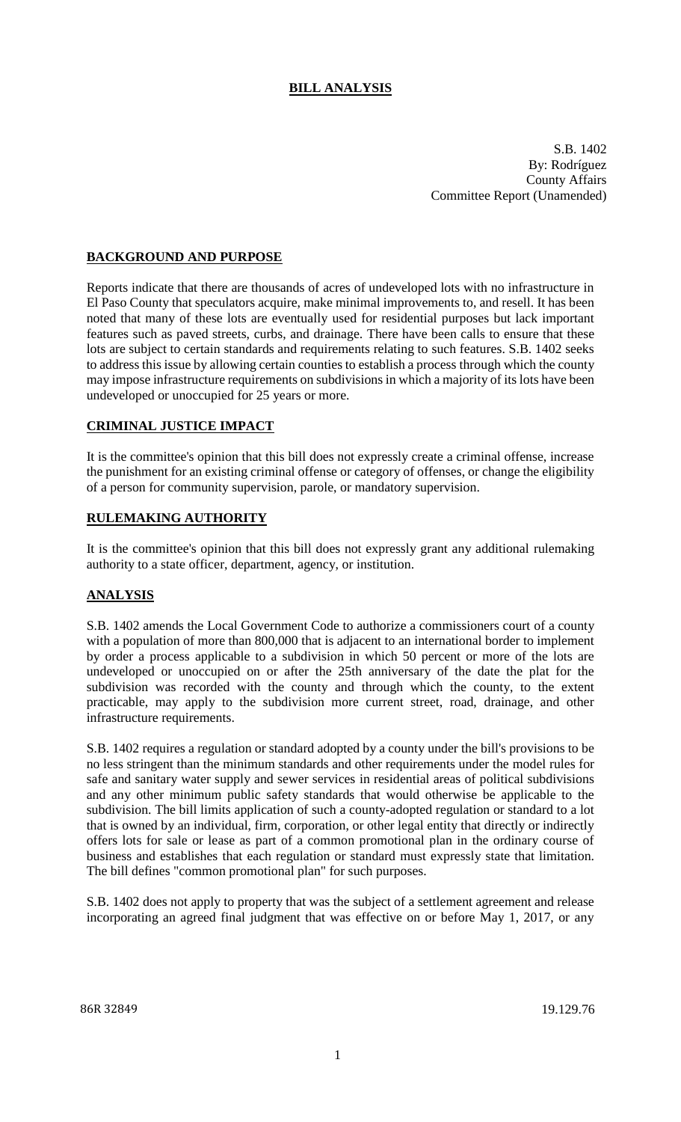# **BILL ANALYSIS**

S.B. 1402 By: Rodríguez County Affairs Committee Report (Unamended)

### **BACKGROUND AND PURPOSE**

Reports indicate that there are thousands of acres of undeveloped lots with no infrastructure in El Paso County that speculators acquire, make minimal improvements to, and resell. It has been noted that many of these lots are eventually used for residential purposes but lack important features such as paved streets, curbs, and drainage. There have been calls to ensure that these lots are subject to certain standards and requirements relating to such features. S.B. 1402 seeks to address this issue by allowing certain counties to establish a process through which the county may impose infrastructure requirements on subdivisions in which a majority of its lots have been undeveloped or unoccupied for 25 years or more.

### **CRIMINAL JUSTICE IMPACT**

It is the committee's opinion that this bill does not expressly create a criminal offense, increase the punishment for an existing criminal offense or category of offenses, or change the eligibility of a person for community supervision, parole, or mandatory supervision.

#### **RULEMAKING AUTHORITY**

It is the committee's opinion that this bill does not expressly grant any additional rulemaking authority to a state officer, department, agency, or institution.

#### **ANALYSIS**

S.B. 1402 amends the Local Government Code to authorize a commissioners court of a county with a population of more than 800,000 that is adjacent to an international border to implement by order a process applicable to a subdivision in which 50 percent or more of the lots are undeveloped or unoccupied on or after the 25th anniversary of the date the plat for the subdivision was recorded with the county and through which the county, to the extent practicable, may apply to the subdivision more current street, road, drainage, and other infrastructure requirements.

S.B. 1402 requires a regulation or standard adopted by a county under the bill's provisions to be no less stringent than the minimum standards and other requirements under the model rules for safe and sanitary water supply and sewer services in residential areas of political subdivisions and any other minimum public safety standards that would otherwise be applicable to the subdivision. The bill limits application of such a county-adopted regulation or standard to a lot that is owned by an individual, firm, corporation, or other legal entity that directly or indirectly offers lots for sale or lease as part of a common promotional plan in the ordinary course of business and establishes that each regulation or standard must expressly state that limitation. The bill defines "common promotional plan" for such purposes.

S.B. 1402 does not apply to property that was the subject of a settlement agreement and release incorporating an agreed final judgment that was effective on or before May 1, 2017, or any